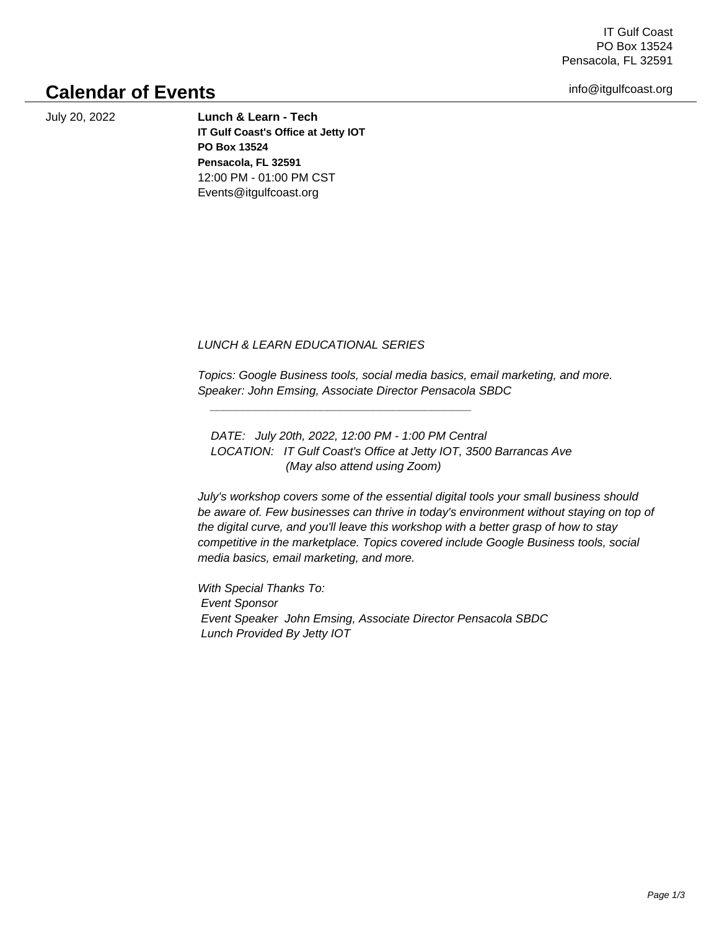IT Gulf Coast PO Box 13524 Pensacola, FL 32591

info@itgulfcoast.org

## **Calendar of Events**

July 20, 2022 **Lunch & Learn - Tech IT Gulf Coast's Office at Jetty IOT PO Box 13524 Pensacola, FL 32591** 12:00 PM - 01:00 PM CST Events@itgulfcoast.org

 LUNCH & LEARN EDUCATIONAL SERIES

 $\frac{1}{2}$  ,  $\frac{1}{2}$  ,  $\frac{1}{2}$  ,  $\frac{1}{2}$  ,  $\frac{1}{2}$  ,  $\frac{1}{2}$  ,  $\frac{1}{2}$  ,  $\frac{1}{2}$  ,  $\frac{1}{2}$  ,  $\frac{1}{2}$  ,  $\frac{1}{2}$  ,  $\frac{1}{2}$  ,  $\frac{1}{2}$  ,  $\frac{1}{2}$  ,  $\frac{1}{2}$  ,  $\frac{1}{2}$  ,  $\frac{1}{2}$  ,  $\frac{1}{2}$  ,  $\frac{1$ 

 Topics: Google Business tools, social media basics, email marketing, and more. Speaker: John Emsing, Associate Director Pensacola SBDC

 DATE: July 20th, 2022, 12:00 PM - 1:00 PM Central LOCATION: IT Gulf Coast's Office at Jetty IOT, 3500 Barrancas Ave (May also attend using Zoom)

 July's workshop covers some of the essential digital tools your small business should be aware of. Few businesses can thrive in today's environment without staying on top of the digital curve, and you'll leave this workshop with a better grasp of how to stay competitive in the marketplace. Topics covered include Google Business tools, social media basics, email marketing, and more.

 With Special Thanks To: Event Sponsor Event Speaker John Emsing, Associate Director Pensacola SBDC Lunch Provided By Jetty IOT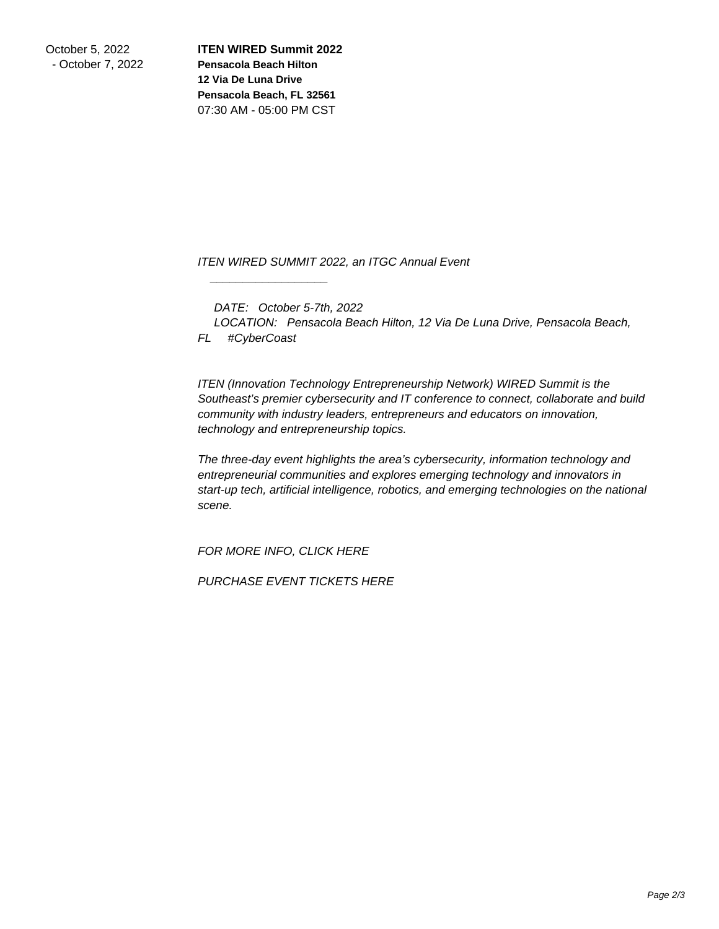October 5, 2022 - October 7, 2022 **ITEN WIRED Summit 2022 Pensacola Beach Hilton 12 Via De Luna Drive Pensacola Beach, FL 32561** 07:30 AM - 05:00 PM CST

 ITEN WIRED SUMMIT 2022, an ITGC Annual Event

DATE: October 5-7th, 2022

 $\frac{1}{\sqrt{2}}$  ,  $\frac{1}{\sqrt{2}}$  ,  $\frac{1}{\sqrt{2}}$  ,  $\frac{1}{\sqrt{2}}$  ,  $\frac{1}{\sqrt{2}}$  ,  $\frac{1}{\sqrt{2}}$  ,  $\frac{1}{\sqrt{2}}$  ,  $\frac{1}{\sqrt{2}}$  ,  $\frac{1}{\sqrt{2}}$  ,  $\frac{1}{\sqrt{2}}$  ,  $\frac{1}{\sqrt{2}}$  ,  $\frac{1}{\sqrt{2}}$  ,  $\frac{1}{\sqrt{2}}$  ,  $\frac{1}{\sqrt{2}}$  ,  $\frac{1}{\sqrt{2}}$ 

 LOCATION: Pensacola Beach Hilton, 12 Via De Luna Drive, Pensacola Beach, FL #CyberCoast

 ITEN (Innovation Technology Entrepreneurship Network) WIRED Summit is the Southeast's premier cybersecurity and IT conference to connect, collaborate and build community with industry leaders, entrepreneurs and educators on innovation, technology and entrepreneurship topics.

 The three-day event highlights the area's cybersecurity, information technology and entrepreneurial communities and explores emerging technology and innovators in start-up tech, artificial intelligence, robotics, and emerging technologies on the national scene.

 FOR MORE INFO, CLICK HERE

 PURCHASE EVENT TICKETS HERE